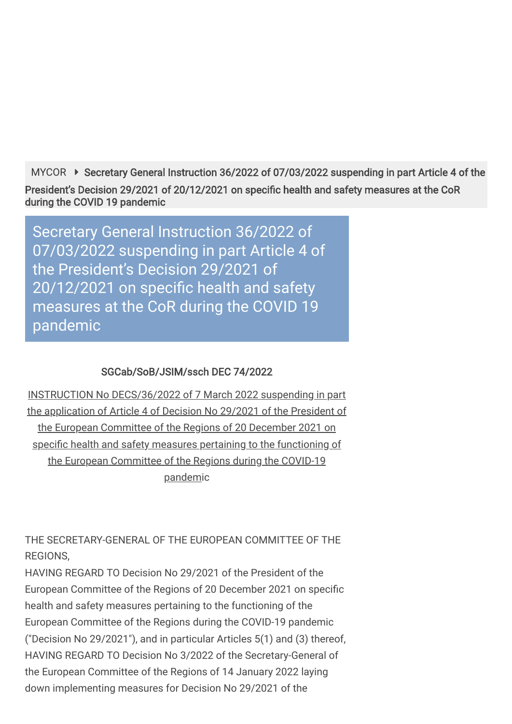[MYCOR](https://mycor.cor.europa.eu/EN/Pages/default.aspx) ▶ Secretary General Instruction 36/2022 of 07/03/2022 suspending in part Article 4 of the President's Decision 29/2021 of 20/12/2021 on specific health and safety measures at the CoR during the COVID 19 pandemic

Secretary General Instruction 36/2022 of 07/03/2022 suspending in part Article 4 of the President's Decision 29/2021 of 20/12/2021 on specific health and safety measures at the CoR during the COVID 19 pandemic

### SGCab/SoB/JSIM/ssch DEC 74/2022

INSTRUCTION No DECS/36/2022 of 7 March 2022 suspending in part the application of Article 4 of Decision No 29/2021 of the President of the European Committee of the Regions of 20 December 2021 on specific health and safety measures pertaining to the functioning of the European Committee of the Regions during the COVID-19 pandemic

THE SECRETARY-GENERAL OF THE EUROPEAN COMMITTEE OF THE REGIONS,

HAVING REGARD TO Decision No 29/2021 of the President of the European Committee of the Regions of 20 December 2021 on specific health and safety measures pertaining to the functioning of the European Committee of the Regions during the COVID-19 pandemic ("Decision No 29/2021"), and in particular Articles 5(1) and (3) thereof, HAVING REGARD TO Decision No 3/2022 of the Secretary-General of the European Committee of the Regions of 14 January 2022 laying down implementing measures for Decision No 29/2021 of the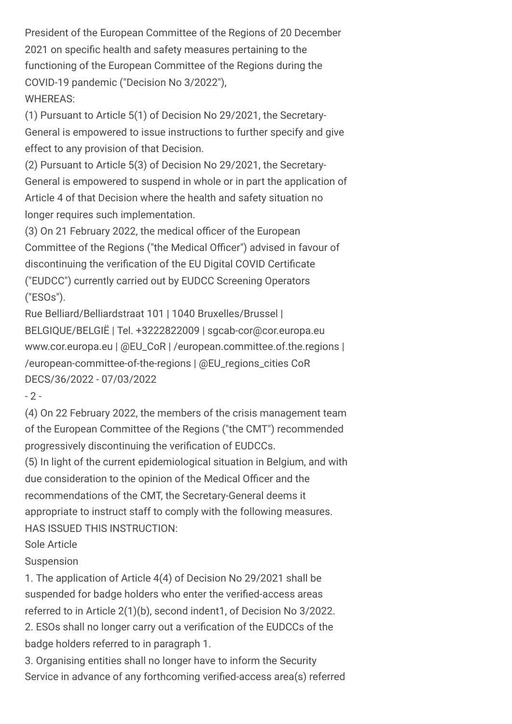President of the European Committee of the Regions of 20 December 2021 on specific health and safety measures pertaining to the functioning of the European Committee of the Regions during the COVID-19 pandemic ("Decision No 3/2022"), WHEREAS:

(1) Pursuant to Article 5(1) of Decision No 29/2021, the Secretary-General is empowered to issue instructions to further specify and give effect to any provision of that Decision.

(2) Pursuant to Article 5(3) of Decision No 29/2021, the Secretary-General is empowered to suspend in whole or in part the application of Article 4 of that Decision where the health and safety situation no longer requires such implementation.

(3) On 21 February 2022, the medical officer of the European Committee of the Regions ("the Medical Officer") advised in favour of discontinuing the verification of the EU Digital COVID Certificate ("EUDCC") currently carried out by EUDCC Screening Operators ("ESOs").

Rue Belliard/Belliardstraat 101 | 1040 Bruxelles/Brussel | BELGIQUE/BELGIË | Tel. +3222822009 | sgcab-cor@cor.europa.eu www.cor.europa.eu | @EU\_CoR | /european.committee.of.the.regions | /european-committee-of-the-regions | @EU\_regions\_cities CoR DECS/36/2022 - 07/03/2022

 $-2 -$ 

(4) On 22 February 2022, the members of the crisis management team of the European Committee of the Regions ("the CMT") recommended progressively discontinuing the verification of EUDCCs.

(5) In light of the current epidemiological situation in Belgium, and with due consideration to the opinion of the Medical Officer and the recommendations of the CMT, the Secretary-General deems it appropriate to instruct staff to comply with the following measures. HAS ISSUED THIS INSTRUCTION:

Sole Article

**Suspension** 

1. The application of Article 4(4) of Decision No 29/2021 shall be suspended for badge holders who enter the verified-access areas referred to in Article 2(1)(b), second indent1, of Decision No 3/2022. 2. ESOs shall no longer carry out a verification of the EUDCCs of the badge holders referred to in paragraph 1.

3. Organising entities shall no longer have to inform the Security Service in advance of any forthcoming verified-access area(s) referred